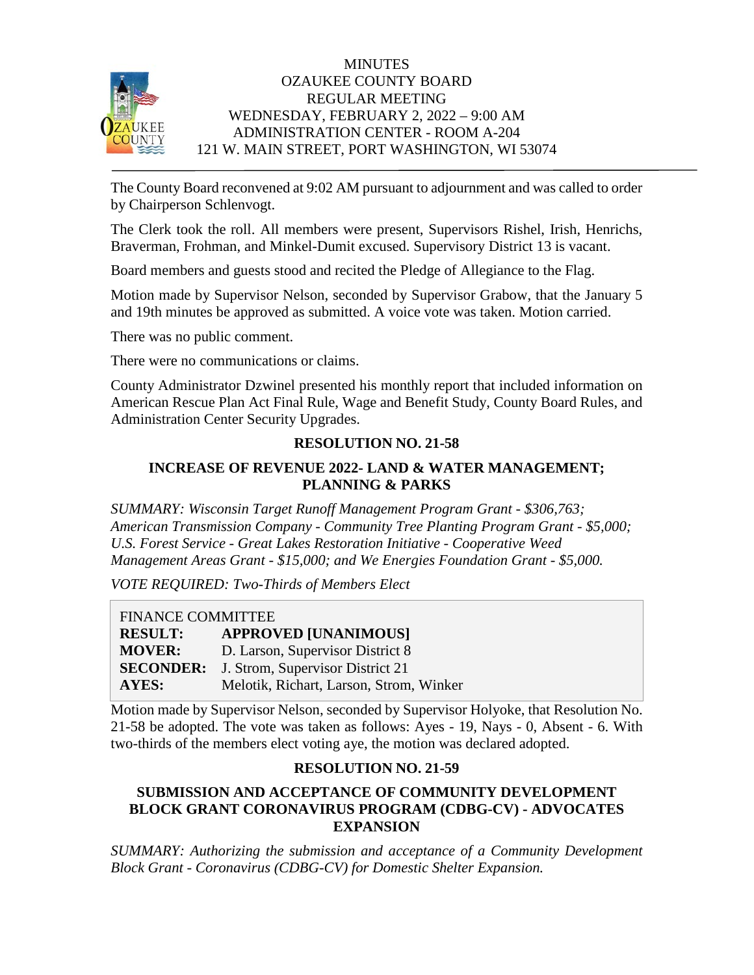

## **MINUTES** OZAUKEE COUNTY BOARD REGULAR MEETING WEDNESDAY, FEBRUARY 2, 2022 – 9:00 AM ADMINISTRATION CENTER - ROOM A-204 121 W. MAIN STREET, PORT WASHINGTON, WI 53074

The County Board reconvened at 9:02 AM pursuant to adjournment and was called to order by Chairperson Schlenvogt.

The Clerk took the roll. All members were present, Supervisors Rishel, Irish, Henrichs, Braverman, Frohman, and Minkel-Dumit excused. Supervisory District 13 is vacant.

Board members and guests stood and recited the Pledge of Allegiance to the Flag.

Motion made by Supervisor Nelson, seconded by Supervisor Grabow, that the January 5 and 19th minutes be approved as submitted. A voice vote was taken. Motion carried.

There was no public comment.

There were no communications or claims.

County Administrator Dzwinel presented his monthly report that included information on American Rescue Plan Act Final Rule, Wage and Benefit Study, County Board Rules, and Administration Center Security Upgrades.

# **RESOLUTION NO. 21-58**

# **INCREASE OF REVENUE 2022- LAND & WATER MANAGEMENT; PLANNING & PARKS**

*SUMMARY: Wisconsin Target Runoff Management Program Grant - \$306,763; American Transmission Company - Community Tree Planting Program Grant - \$5,000; U.S. Forest Service - Great Lakes Restoration Initiative - Cooperative Weed Management Areas Grant - \$15,000; and We Energies Foundation Grant - \$5,000.*

*VOTE REQUIRED: Two-Thirds of Members Elect*

FINANCE COMMITTEE **RESULT: APPROVED [UNANIMOUS] MOVER:** D. Larson, Supervisor District 8 **SECONDER:** J. Strom, Supervisor District 21 **AYES:** Melotik, Richart, Larson, Strom, Winker

Motion made by Supervisor Nelson, seconded by Supervisor Holyoke, that Resolution No. 21-58 be adopted. The vote was taken as follows: Ayes - 19, Nays - 0, Absent - 6. With two-thirds of the members elect voting aye, the motion was declared adopted.

# **RESOLUTION NO. 21-59**

## **SUBMISSION AND ACCEPTANCE OF COMMUNITY DEVELOPMENT BLOCK GRANT CORONAVIRUS PROGRAM (CDBG-CV) - ADVOCATES EXPANSION**

*SUMMARY: Authorizing the submission and acceptance of a Community Development Block Grant - Coronavirus (CDBG-CV) for Domestic Shelter Expansion.*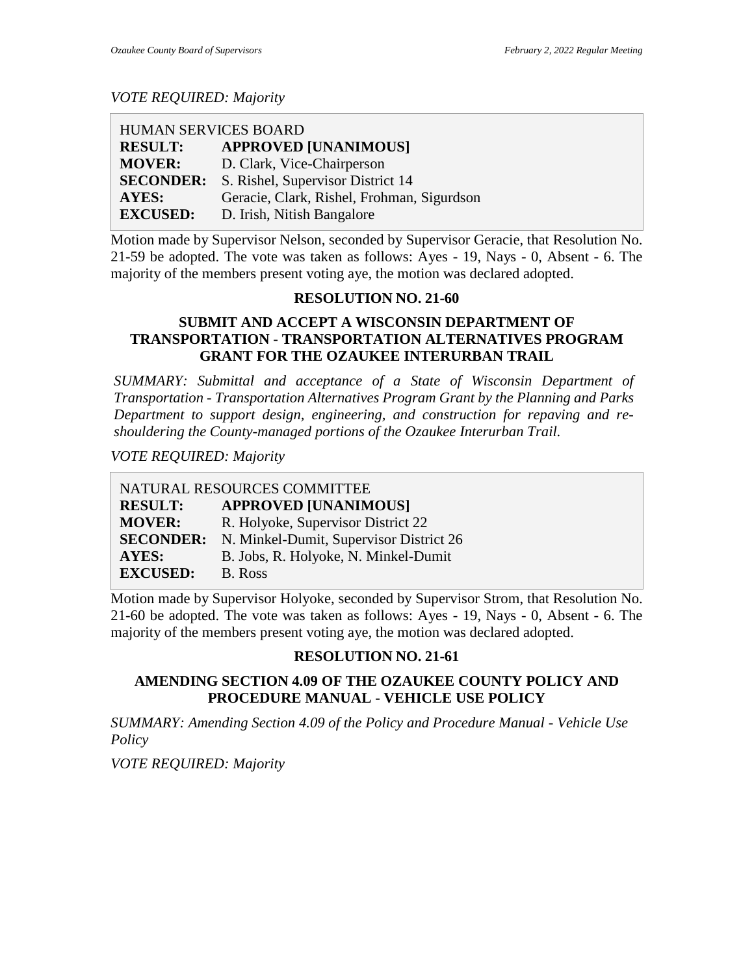*VOTE REQUIRED: Majority*

| HUMAN SERVICES BOARD |                                            |
|----------------------|--------------------------------------------|
| <b>RESULT:</b>       | <b>APPROVED [UNANIMOUS]</b>                |
| <b>MOVER:</b>        | D. Clark, Vice-Chairperson                 |
| <b>SECONDER:</b>     | S. Rishel, Supervisor District 14          |
| <b>AYES:</b>         | Geracie, Clark, Rishel, Frohman, Sigurdson |
| <b>EXCUSED:</b>      | D. Irish, Nitish Bangalore                 |

Motion made by Supervisor Nelson, seconded by Supervisor Geracie, that Resolution No. 21-59 be adopted. The vote was taken as follows: Ayes - 19, Nays - 0, Absent - 6. The majority of the members present voting aye, the motion was declared adopted.

#### **RESOLUTION NO. 21-60**

### **SUBMIT AND ACCEPT A WISCONSIN DEPARTMENT OF TRANSPORTATION - TRANSPORTATION ALTERNATIVES PROGRAM GRANT FOR THE OZAUKEE INTERURBAN TRAIL**

*SUMMARY: Submittal and acceptance of a State of Wisconsin Department of Transportation - Transportation Alternatives Program Grant by the Planning and Parks Department to support design, engineering, and construction for repaving and reshouldering the County-managed portions of the Ozaukee Interurban Trail.*

*VOTE REQUIRED: Majority*

NATURAL RESOURCES COMMITTEE **RESULT: APPROVED [UNANIMOUS] MOVER:** R. Holyoke, Supervisor District 22 **SECONDER:** N. Minkel-Dumit, Supervisor District 26 **AYES:** B. Jobs, R. Holyoke, N. Minkel-Dumit **EXCUSED:** B. Ross

Motion made by Supervisor Holyoke, seconded by Supervisor Strom, that Resolution No. 21-60 be adopted. The vote was taken as follows: Ayes - 19, Nays - 0, Absent - 6. The majority of the members present voting aye, the motion was declared adopted.

# **RESOLUTION NO. 21-61**

# **AMENDING SECTION 4.09 OF THE OZAUKEE COUNTY POLICY AND PROCEDURE MANUAL - VEHICLE USE POLICY**

*SUMMARY: Amending Section 4.09 of the Policy and Procedure Manual - Vehicle Use Policy*

*VOTE REQUIRED: Majority*